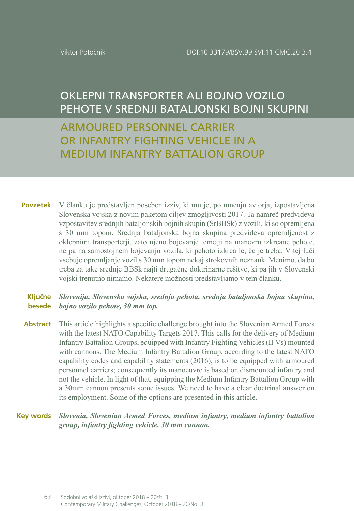Viktor Potočnik

# OKLEPNI TRANSPORTER ALI BOJNO VOZILO PEHOTE V SREDNJI BATALJONSKI BOJNI SKUPINI

ARMOURED PERSONNEL CARRIER OR INFANTRY FIGHTING VEHICLE IN A MEDIUM INFANTRY BATTALION GROUP

V članku je predstavljen poseben izziv, ki mu je, po mnenju avtorja, izpostavljena Slovenska vojska z novim paketom ciljev zmogljivosti 2017. Ta namreč predvideva vzpostavitev srednjih bataljonskih bojnih skupin (SrBBSk) z vozili, ki so opremljena s 30 mm topom. Srednja bataljonska bojna skupina predvideva opremljenost z oklepnimi transporterji, zato njeno bojevanje temelji na manevru izkrcane pehote, ne pa na samostojnem bojevanju vozila, ki pehoto izkrca le, če je treba. V tej luči vsebuje opremljanje vozil s 30 mm topom nekaj strokovnih neznank. Menimo, da bo treba za take srednje BBSk najti drugačne doktrinarne rešitve, ki pa jih v Slovenski vojski trenutno nimamo. Nekatere možnosti predstavljamo v tem članku. **Povzetek**

#### *Slovenija, Slovenska vojska, srednja pehota, srednja bataljonska bojna skupina, bojno vozilo pehote, 30 mm top.* **Ključne besede**

Abstract This article highlights a specific challenge brought into the Slovenian Armed Forces with the latest NATO Capability Targets 2017. This calls for the delivery of Medium Infantry Battalion Groups, equipped with Infantry Fighting Vehicles (IFVs) mounted with cannons. The Medium Infantry Battalion Group, according to the latest NATO capability codes and capability statements (2016), is to be equipped with armoured personnel carriers; consequently its manoeuvre is based on dismounted infantry and not the vehicle. In light of that, equipping the Medium Infantry Battalion Group with a 30mm cannon presents some issues. We need to have a clear doctrinal answer on its employment. Some of the options are presented in this article.

#### *Slovenia, Slovenian Armed Forces, medium infantry, medium infantry battalion group, infantry fighting vehicle, 30 mm cannon.* **Key words**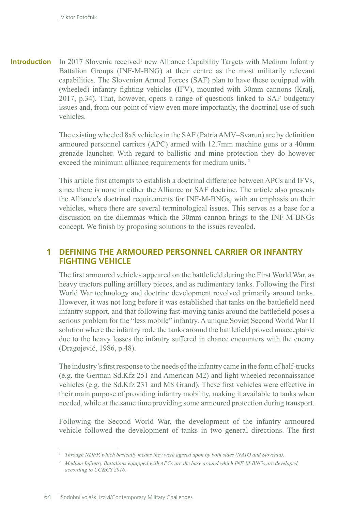In 2017 Slovenia received<sup>1</sup> new Alliance Capability Targets with Medium Infantry Battalion Groups (INF-M-BNG) at their centre as the most militarily relevant capabilities. The Slovenian Armed Forces (SAF) plan to have these equipped with (wheeled) infantry fighting vehicles (IFV), mounted with 30mm cannons (Kralj, 2017, p.34). That, however, opens a range of questions linked to SAF budgetary issues and, from our point of view even more importantly, the doctrinal use of such vehicles. **Introduction**

> The existing wheeled 8x8 vehicles in the SAF (Patria AMV–Svarun) are by definition armoured personnel carriers (APC) armed with 12.7mm machine guns or a 40mm grenade launcher. With regard to ballistic and mine protection they do however exceed the minimum alliance requirements for medium units.<sup>2</sup>

> This article first attempts to establish a doctrinal difference between APCs and IFVs, since there is none in either the Alliance or SAF doctrine. The article also presents the Alliance's doctrinal requirements for INF-M-BNGs, with an emphasis on their vehicles, where there are several terminological issues. This serves as a base for a discussion on the dilemmas which the 30mm cannon brings to the INF-M-BNGs concept. We finish by proposing solutions to the issues revealed.

## **1 DEFINING THE ARMOURED PERSONNEL CARRIER OR INFANTRY FIGHTING VEHICLE**

The first armoured vehicles appeared on the battlefield during the First World War, as heavy tractors pulling artillery pieces, and as rudimentary tanks. Following the First World War technology and doctrine development revolved primarily around tanks. However, it was not long before it was established that tanks on the battlefield need infantry support, and that following fast-moving tanks around the battlefield poses a serious problem for the "less mobile" infantry. A unique Soviet Second World War II solution where the infantry rode the tanks around the battlefield proved unacceptable due to the heavy losses the infantry suffered in chance encounters with the enemy (Dragojević, 1986, p.48).

The industry's first response to the needs of the infantry came in the form of half-trucks (e.g. the German Sd.Kfz 251 and American M2) and light wheeled reconnaissance vehicles (e.g. the Sd.Kfz 231 and M8 Grand). These first vehicles were effective in their main purpose of providing infantry mobility, making it available to tanks when needed, while at the same time providing some armoured protection during transport.

Following the Second World War, the development of the infantry armoured vehicle followed the development of tanks in two general directions. The first

*<sup>1</sup> Through NDPP, which basically means they were agreed upon by both sides (NATO and Slovenia).*

*<sup>2</sup> Medium Infantry Battalions equipped with APCs are the base around which INF-M-BNGs are developed, according to CC&CS 2016.*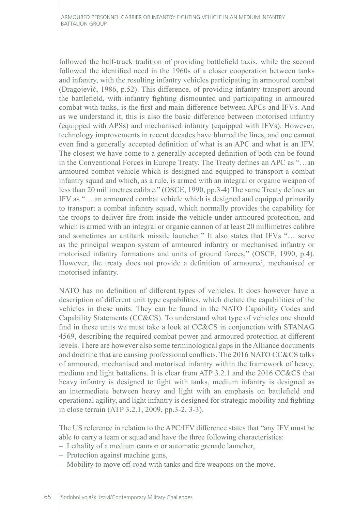followed the half-truck tradition of providing battlefield taxis, while the second followed the identified need in the 1960s of a closer cooperation between tanks and infantry, with the resulting infantry vehicles participating in armoured combat (Dragojevič, 1986, p.52). This difference, of providing infantry transport around the battlefield, with infantry fighting dismounted and participating in armoured combat with tanks, is the first and main difference between APCs and IFVs. And as we understand it, this is also the basic difference between motorised infantry (equipped with APSs) and mechanised infantry (equipped with IFVs). However, technology improvements in recent decades have blurred the lines, and one cannot even find a generally accepted definition of what is an APC and what is an IFV. The closest we have come to a generally accepted definition of both can be found in the Conventional Forces in Europe Treaty. The Treaty defines an APC as "…an armoured combat vehicle which is designed and equipped to transport a combat infantry squad and which, as a rule, is armed with an integral or organic weapon of less than 20 millimetres calibre." (OSCE, 1990, pp.3-4) The same Treaty defines an IFV as "… an armoured combat vehicle which is designed and equipped primarily to transport a combat infantry squad, which normally provides the capability for the troops to deliver fire from inside the vehicle under armoured protection, and which is armed with an integral or organic cannon of at least 20 millimetres calibre and sometimes an antitank missile launcher." It also states that IFVs "… serve as the principal weapon system of armoured infantry or mechanised infantry or motorised infantry formations and units of ground forces," (OSCE, 1990, p.4). However, the treaty does not provide a definition of armoured, mechanised or motorised infantry.

NATO has no definition of different types of vehicles. It does however have a description of different unit type capabilities, which dictate the capabilities of the vehicles in these units. They can be found in the NATO Capability Codes and Capability Statements (CC&CS). To understand what type of vehicles one should find in these units we must take a look at CC&CS in conjunction with STANAG 4569, describing the required combat power and armoured protection at different levels. There are however also some terminological gaps in the Alliance documents and doctrine that are causing professional conflicts. The 2016 NATO CC&CS talks of armoured, mechanised and motorised infantry within the framework of heavy, medium and light battalions. It is clear from ATP 3.2.1 and the 2016 CC&CS that heavy infantry is designed to fight with tanks, medium infantry is designed as an intermediate between heavy and light with an emphasis on battlefield and operational agility, and light infantry is designed for strategic mobility and fighting in close terrain (ATP 3.2.1, 2009, pp.3-2, 3-3).

The US reference in relation to the APC/IFV difference states that "any IFV must be able to carry a team or squad and have the three following characteristics:

- Lethality of a medium cannon or automatic grenade launcher,
- Protection against machine guns,
- Mobility to move off-road with tanks and fire weapons on the move.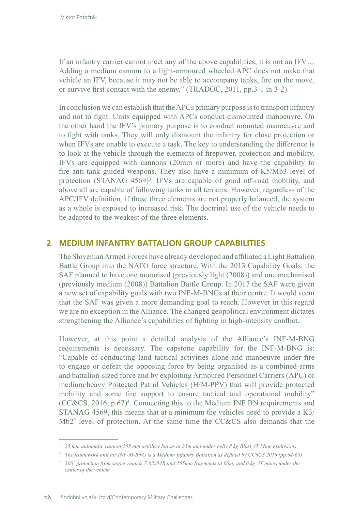If an infantry carrier cannot meet any of the above capabilities, it is not an IFV… Adding a medium cannon to a light-armoured wheeled APC does not make that vehicle an IFV, because it may not be able to accompany tanks, fire on the move, or survive first contact with the enemy," (TRADOC, 2011, pp.3-1 in 3-2).

In conclusion we can establish that the APCs primary purpose is to transport infantry and not to fight. Units equipped with APCs conduct dismounted manoeuvre. On the other hand the IFV's primary purpose is to conduct mounted manoeuvre and to fight with tanks. They will only dismount the infantry for close protection or when IFVs are unable to execute a task. The key to understanding the difference is to look at the vehicle through the elements of firepower, protection and mobility. IFVs are equipped with cannons (20mm or more) and have the capability to fire anti-tank guided weapons. They also have a minimum of K5/Mb3 level of protection (STANAG 4569)<sup>3</sup>. IFVs are capable of good off-road mobility, and above all are capable of following tanks in all terrains. However, regardless of the APC/IFV definition, if these three elements are not properly balanced, the system as a whole is exposed to increased risk. The doctrinal use of the vehicle needs to be adapted to the weakest of the three elements.

#### **2 MEDIUM INFANTRY BATTALION GROUP CAPABILITIES**

The Slovenian Armed Forces have already developed and affiliated a Light Battalion Battle Group into the NATO force structure. With the 2013 Capability Goals, the SAF planned to have one motorised (previously light (2008)) and one mechanised (previously medium (2008)) Battalion Battle Group. In 2017 the SAF were given a new set of capability goals with two INF-M-BNGs at their centre. It would seem that the SAF was given a more demanding goal to reach. However in this regard we are no exception in the Alliance. The changed geopolitical environment dictates strengthening the Alliance's capabilities of fighting in high-intensity conflict.

However, at this point a detailed analysis of the Alliance's INF-M-BNG requirements is necessary. The capstone capability for the INF-M-BNG is: "Capable of conducting land tactical activities alone and manoeuvre under fire to engage or defeat the opposing force by being organised as a combined-arms and battalion-sized force and by exploiting Armoured Personnel Carriers (APC) or medium/heavy Protected Patrol Vehicles (H/M-PPV) that will provide protected mobility and some fire support to ensure tactical and operational mobility"  $(CC&CS, 2016, p.67)<sup>4</sup>$ . Connecting this to the Medium INF BN requirements and STANAG 4569, this means that at a minimum the vehicles need to provide a K3/ Mb<sub>25</sub> level of protection. At the same time the CC&CS also demands that the

*<sup>3</sup> 25 mm automatic cannon/155 mm artillery bursts at 25m and under belly 8 kg Blast AT Mine explosions*

*<sup>4</sup> The framework unit for INF-M-BNG is a Medium Infantry Battalion as defined by CC6CS 2016 (pp.64-65)*

*<sup>5</sup> 360˚ protection from sniper rounds 7;62x54R and 155mm fragments at 60m; and 6 kg AT mines under the center of the vehicle*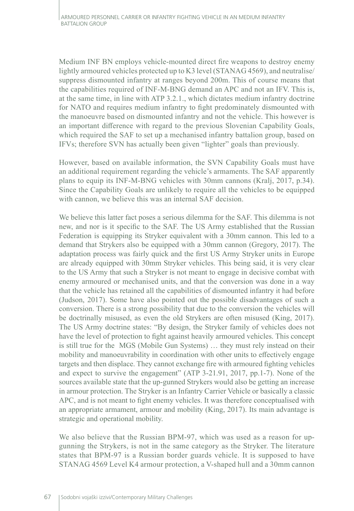Medium INF BN employs vehicle-mounted direct fire weapons to destroy enemy lightly armoured vehicles protected up to K3 level (STANAG 4569), and neutralise/ suppress dismounted infantry at ranges beyond 200m. This of course means that the capabilities required of INF-M-BNG demand an APC and not an IFV. This is, at the same time, in line with ATP 3.2.1., which dictates medium infantry doctrine for NATO and requires medium infantry to fight predominately dismounted with the manoeuvre based on dismounted infantry and not the vehicle. This however is an important difference with regard to the previous Slovenian Capability Goals, which required the SAF to set up a mechanised infantry battalion group, based on IFVs; therefore SVN has actually been given "lighter" goals than previously.

However, based on available information, the SVN Capability Goals must have an additional requirement regarding the vehicle's armaments. The SAF apparently plans to equip its INF-M-BNG vehicles with 30mm cannons (Kralj, 2017, p.34). Since the Capability Goals are unlikely to require all the vehicles to be equipped with cannon, we believe this was an internal SAF decision.

We believe this latter fact poses a serious dilemma for the SAF. This dilemma is not new, and nor is it specific to the SAF. The US Army established that the Russian Federation is equipping its Stryker equivalent with a 30mm cannon. This led to a demand that Strykers also be equipped with a 30mm cannon (Gregory, 2017). The adaptation process was fairly quick and the first US Army Stryker units in Europe are already equipped with 30mm Stryker vehicles. This being said, it is very clear to the US Army that such a Stryker is not meant to engage in decisive combat with enemy armoured or mechanised units, and that the conversion was done in a way that the vehicle has retained all the capabilities of dismounted infantry it had before (Judson, 2017). Some have also pointed out the possible disadvantages of such a conversion. There is a strong possibility that due to the conversion the vehicles will be doctrinally misused, as even the old Strykers are often misused (King, 2017). The US Army doctrine states: "By design, the Stryker family of vehicles does not have the level of protection to fight against heavily armoured vehicles. This concept is still true for the MGS (Mobile Gun Systems) … they must rely instead on their mobility and manoeuvrability in coordination with other units to effectively engage targets and then displace. They cannot exchange fire with armoured fighting vehicles and expect to survive the engagement" (ATP 3-21.91, 2017, pp.1-7). None of the sources available state that the up-gunned Strykers would also be getting an increase in armour protection. The Stryker is an Infantry Carrier Vehicle or basically a classic APC, and is not meant to fight enemy vehicles. It was therefore conceptualised with an appropriate armament, armour and mobility (King, 2017). Its main advantage is strategic and operational mobility.

We also believe that the Russian BPM-97, which was used as a reason for upgunning the Strykers, is not in the same category as the Stryker. The literature states that BPM-97 is a Russian border guards vehicle. It is supposed to have STANAG 4569 Level K4 armour protection, a V-shaped hull and a 30mm cannon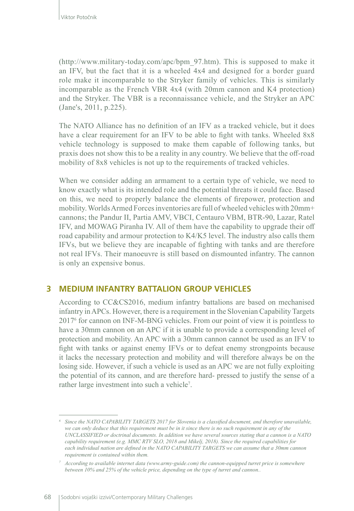([http://www.military-today.com/apc/bpm\\_97.htm\)](http://www.military-today.com/apc/bpm_97.htm). This is supposed to make it an IFV, but the fact that it is a wheeled 4x4 and designed for a border guard role make it incomparable to the Stryker family of vehicles. This is similarly incomparable as the French VBR 4x4 (with 20mm cannon and K4 protection) and the Stryker. The VBR is a reconnaissance vehicle, and the Stryker an APC (Jane's, 2011, p.225).

The NATO Alliance has no definition of an IFV as a tracked vehicle, but it does have a clear requirement for an IFV to be able to fight with tanks. Wheeled 8x8 vehicle technology is supposed to make them capable of following tanks, but praxis does not show this to be a reality in any country. We believe that the off-road mobility of 8x8 vehicles is not up to the requirements of tracked vehicles.

When we consider adding an armament to a certain type of vehicle, we need to know exactly what is its intended role and the potential threats it could face. Based on this, we need to properly balance the elements of firepower, protection and mobility. Worlds Armed Forces inventories are full of wheeled vehicles with 20mm+ cannons; the Pandur II, Partia AMV, VBCI, Centauro VBM, BTR-90, Lazar, Ratel IFV, and MOWAG Piranha IV. All of them have the capability to upgrade their off road capability and armour protection to K4/K5 level. The industry also calls them IFVs, but we believe they are incapable of fighting with tanks and are therefore not real IFVs. Their manoeuvre is still based on dismounted infantry. The cannon is only an expensive bonus.

#### **3 MEDIUM INFANTRY BATTALION GROUP VEHICLES**

According to CC&CS2016, medium infantry battalions are based on mechanised infantry in APCs. However, there is a requirement in the Slovenian Capability Targets 20176 for cannon on INF-M-BNG vehicles. From our point of view it is pointless to have a 30mm cannon on an APC if it is unable to provide a corresponding level of protection and mobility. An APC with a 30mm cannon cannot be used as an IFV to fight with tanks or against enemy IFVs or to defeat enemy strongpoints because it lacks the necessary protection and mobility and will therefore always be on the losing side. However, if such a vehicle is used as an APC we are not fully exploiting the potential of its cannon, and are therefore hard- pressed to justify the sense of a rather large investment into such a vehicle<sup>7</sup>.

*<sup>6</sup> Since the NATO CAPABILITY TARGETS 2017 for Slovenia is a classified document, and therefore unavailable, we can only deduce that this requirement must be in it since there is no such requirement in any of the UNCLASSIFIED or doctrinal documents. In addition we have several sources stating that a cannon is a NATO capability requirement (e.g. MMC RTV SLO, 2018 and Mikelj, 2018). Since the required capabilities for each individual nation are defined in the NATO CAPABILITY TARGETS we can assume that a 30mm cannon requirement is contained within them.*

*<sup>7</sup> According to available internet data ([www.army-guide.com\)](http://www.army-guide.com) the cannon-equipped turret price is somewhere between 10% and 25% of the vehicle price, depending on the type of turret and cannon..*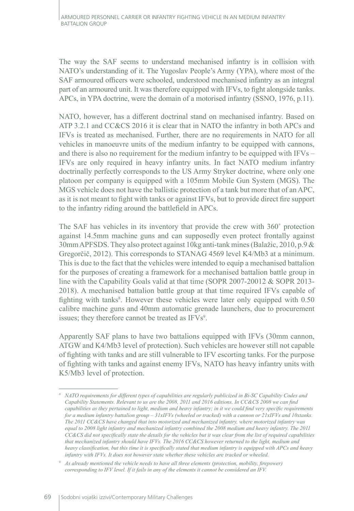The way the SAF seems to understand mechanised infantry is in collision with NATO's understanding of it. The Yugoslav People's Army (YPA), where most of the SAF armoured officers were schooled, understood mechanised infantry as an integral part of an armoured unit. It was therefore equipped with IFVs, to fight alongside tanks. APCs, in YPA doctrine, were the domain of a motorised infantry (SSNO, 1976, p.11).

NATO, however, has a different doctrinal stand on mechanised infantry. Based on ATP 3.2.1 and CC&CS 2016 it is clear that in NATO the infantry in both APCs and IFVs is treated as mechanised. Further, there are no requirements in NATO for all vehicles in manoeuvre units of the medium infantry to be equipped with cannons, and there is also no requirement for the medium infantry to be equipped with IFVs – IFVs are only required in heavy infantry units. In fact NATO medium infantry doctrinally perfectly corresponds to the US Army Stryker doctrine, where only one platoon per company is equipped with a 105mm Mobile Gun System (MGS). The MGS vehicle does not have the ballistic protection of a tank but more that of an APC, as it is not meant to fight with tanks or against IFVs, but to provide direct fire support to the infantry riding around the battlefield in APCs.

The SAF has vehicles in its inventory that provide the crew with 360˚ protection against 14.5mm machine guns and can supposedly even protect frontally against 30mm APFSDS. They also protect against 10kg anti-tank mines (Balažic, 2010, p.9 & Gregorčič, 2012). This corresponds to STANAG 4569 level K4/Mb3 at a minimum. This is due to the fact that the vehicles were intended to equip a mechanised battalion for the purposes of creating a framework for a mechanised battalion battle group in line with the Capability Goals valid at that time (SOPR 2007-20012 & SOPR 2013- 2018). A mechanised battalion battle group at that time required IFVs capable of fighting with tanks<sup>8</sup>. However these vehicles were later only equipped with 0.50 calibre machine guns and 40mm automatic grenade launchers, due to procurement issues; they therefore cannot be treated as IFVs<sup>9</sup>.

Apparently SAF plans to have two battalions equipped with IFVs (30mm cannon, ATGW and K4/Mb3 level of protection). Such vehicles are however still not capable of fighting with tanks and are still vulnerable to IFV escorting tanks. For the purpose of fighting with tanks and against enemy IFVs, NATO has heavy infantry units with K5/Mb3 level of protection.

*<sup>8</sup> NATO requirements for different types of capabilities are regularly publicized in Bi-SC Capability Codes and Capability Statements. Relevant to us are the 2008, 2011 and 2016 editions. In CC&CS 2008 we can find capabilities as they pertained to light, medium and heavy infantry; in it we could find very specific requirements for a medium infantry battalion group – 31xIFVs (wheeled or tracked) with a cannon or 21xIFVs and 10xtanks. The 2011 CC&CS have changed that into motorized and mechanized infantry, where motorized infantry was equal to 2008 light infantry and mechanized infantry combined the 2008 medium and heavy infantry. The 2011 CC&CS did not specifically state the details for the vehicles but it was clear from the list of required capabilities that mechanized infantry should have IFVs. The 2016 CC&CS however returned to the light, medium and heavy classification, but this time it is specifically stated that medium infantry is equipped with APCs and heavy infantry with IFVs. It does not however state whether these vehicles are tracked or wheeled.*

*<sup>9</sup> As already mentioned the vehicle needs to have all three elements (protection, mobility, firepower) corresponding to IFV level. If it fails in any of the elements it cannot be considered an IFV.*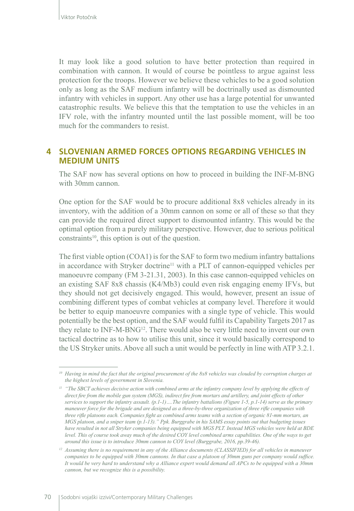It may look like a good solution to have better protection than required in combination with cannon. It would of course be pointless to argue against less protection for the troops. However we believe these vehicles to be a good solution only as long as the SAF medium infantry will be doctrinally used as dismounted infantry with vehicles in support. Any other use has a large potential for unwanted catastrophic results. We believe this that the temptation to use the vehicles in an IFV role, with the infantry mounted until the last possible moment, will be too much for the commanders to resist.

### **4 SLOVENIAN ARMED FORCES OPTIONS REGARDING VEHICLES IN MEDIUM UNITS**

The SAF now has several options on how to proceed in building the INF-M-BNG with 30mm cannon.

One option for the SAF would be to procure additional 8x8 vehicles already in its inventory, with the addition of a 30mm cannon on some or all of these so that they can provide the required direct support to dismounted infantry. This would be the optimal option from a purely military perspective. However, due to serious political constraints<sup>10</sup>, this option is out of the question.

The first viable option (COA1) is for the SAF to form two medium infantry battalions in accordance with Stryker doctrine<sup>11</sup> with a PLT of cannon-equipped vehicles per manoeuvre company (FM 3-21.31, 2003). In this case cannon-equipped vehicles on an existing SAF 8x8 chassis (K4/Mb3) could even risk engaging enemy IFVs, but they should not get decisively engaged. This would, however, present an issue of combining different types of combat vehicles at company level. Therefore it would be better to equip manoeuvre companies with a single type of vehicle. This would potentially be the best option, and the SAF would fulfil its Capability Targets 2017 as they relate to INF-M-BNG12. There would also be very little need to invent our own tactical doctrine as to how to utilise this unit, since it would basically correspond to the US Stryker units. Above all such a unit would be perfectly in line with ATP 3.2.1.

*<sup>10</sup> Having in mind the fact that the original procurement of the 8x8 vehicles was clouded by corruption charges at the highest levels of government in Slovenia.*

*<sup>11</sup> "The SBCT achieves decisive action with combined arms at the infantry company level by applying the effects of direct fire from the mobile gun system (MGS), indirect fire from mortars and artillery, and joint effects of other services to support the infantry assault. (p.1-1)….The infantry battalions (Figure 1-5, p.1-14) serve as the primary maneuver force for the brigade and are designed as a three-by-three organization of three rifle companies with three rifle platoons each. Companies fight as combined arms teams with a section of organic 81-mm mortars, an MGS platoon, and a sniper team (p.1-13)." Ppk. Burggrabe in his SAMS essay points out that budgeting issues have resulted in not all Stryker companies being equipped with MGS PLT. Instead MGS vehicles were held at BDE level. This of course took away much of the desired COY level combined arms capabilities. One of the ways to get around this issue is to introduce 30mm cannon to COY level (Burggrabe, 2016, pp.39-46).*

*<sup>12</sup> Assuming there is no requirement in any of the Alliance documents (CLASSIFIED) for all vehicles in maneuver companies to be equipped with 30mm cannons. In that case a platoon of 30mm guns per company would suffice. It would be very hard to understand why a Alliance expert would demand all APCs to be equipped with a 30mm cannon, but we recognize this is a possibility.*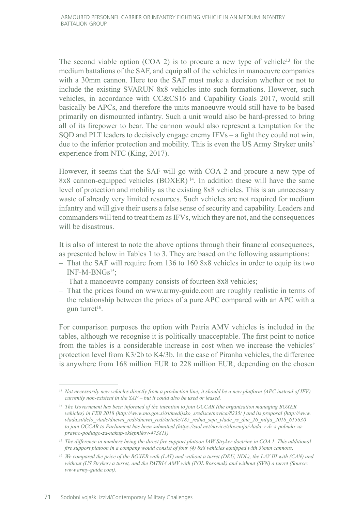The second viable option  $(COA 2)$  is to procure a new type of vehicle<sup>13</sup> for the medium battalions of the SAF, and equip all of the vehicles in manoeuvre companies with a 30mm cannon. Here too the SAF must make a decision whether or not to include the existing SVARUN 8x8 vehicles into such formations. However, such vehicles, in accordance with CC&CS16 and Capability Goals 2017, would still basically be APCs, and therefore the units manoeuvre would still have to be based primarily on dismounted infantry. Such a unit would also be hard-pressed to bring all of its firepower to bear. The cannon would also represent a temptation for the SQD and PLT leaders to decisively engage enemy IFVs – a fight they could not win, due to the inferior protection and mobility. This is even the US Army Stryker units' experience from NTC (King, 2017).

However, it seems that the SAF will go with COA 2 and procure a new type of 8x8 cannon-equipped vehicles (BOXER) 14. In addition these will have the same level of protection and mobility as the existing 8x8 vehicles. This is an unnecessary waste of already very limited resources. Such vehicles are not required for medium infantry and will give their users a false sense of security and capability. Leaders and commanders will tend to treat them as IFVs, which they are not, and the consequences will be disastrous.

It is also of interest to note the above options through their financial consequences, as presented below in Tables 1 to 3. They are based on the following assumptions:

- That the SAF will require from 136 to 160 8x8 vehicles in order to equip its two  $INF-M-BNGs<sup>15</sup>$ ;
- That a manoeuvre company consists of fourteen 8x8 vehicles;
- That the prices found on www.army-guide.com are roughly realistic in terms of the relationship between the prices of a pure APC compared with an APC with a gun turret $16$ .

For comparison purposes the option with Patria AMV vehicles is included in the tables, although we recognise it is politically unacceptable. The first point to notice from the tables is a considerable increase in cost when we increase the vehicles' protection level from K3/2b to K4/3b. In the case of Piranha vehicles, the difference is anywhere from 168 million EUR to 228 million EUR, depending on the chosen

*<sup>13</sup> Not necessarily new vehicles directly from a production line; it should be a new platform (APC instead of IFV) currently non-existent in the SAF – but it could also be used or leased.*

*<sup>14</sup> The Government has been informed of the intention to join OCCAR (the organization managing BOXER vehicles) in FEB 2018 (http://www.mo.gov.si/si/medijsko\_sredisce/novica/8235/ ) and its proposal (http://www. vlada.si/delo\_vlade/dnevni\_redi/dnevni\_redi/article/185\_redna\_seja\_vlade\_rs\_dne\_26\_julija\_2018\_61563/) to join OCCAR to Parliament has been submitted (https://siol.net/novice/slovenija/vlada-v-dz-s-pobudo-zapravno-podlago-za-nakup-oklepnikov-473811)*

*<sup>15</sup> The difference in numbers being the direct fire support platoon IAW Stryker doctrine in COA 1. This additional fire support platoon in a company would consist of four (4) 8x8 vehicles equipped with 30mm cannons.*

*<sup>16</sup> We compared the price of the BOXER with (LAT) and without a turret (DEU, NDL), the LAV III with (CAN) and without (US Stryker) a turret, and the PATRIA AMV with (POL Rosomak) and without (SVN) a turret (Source: www.army-guide.com).*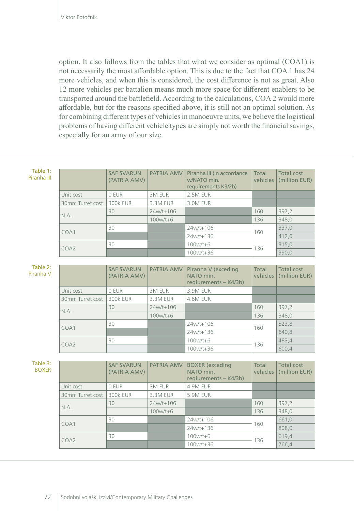option. It also follows from the tables that what we consider as optimal (COA1) is not necessarily the most affordable option. This is due to the fact that COA 1 has 24 more vehicles, and when this is considered, the cost difference is not as great. Also 12 more vehicles per battalion means much more space for different enablers to be transported around the battlefield. According to the calculations, COA 2 would more affordable, but for the reasons specified above, it is still not an optimal solution. As for combining different types of vehicles in manoeuvre units, we believe the logistical problems of having different vehicle types are simply not worth the financial savings, especially for an army of our size.

| $\sim$<br>. .<br>۰. |  |
|---------------------|--|
| ۹                   |  |

|                  | <b>SAF SVARUN</b><br>(PATRIA AMV) | PATRIA AMV   | Piranha III (in accordance<br>w/NATO min.<br>requirements K3/2b) | Total<br>vehicles | Total cost<br>(million EUR) |
|------------------|-----------------------------------|--------------|------------------------------------------------------------------|-------------------|-----------------------------|
| Unit cost        | 0 EUR                             | 3M EUR       | 2.5M EUR                                                         |                   |                             |
| 30mm Turret cost | 300k EUR                          | 3.3M EUR     | 3.0M EUR                                                         |                   |                             |
| N.A.             | 30                                | 24w/t+106    |                                                                  | 160               | 397,2                       |
|                  |                                   | $100w/t + 6$ |                                                                  | 136               | 348,0                       |
| COA1             | 30                                |              | 24w/t+106                                                        | 160               | 337,0                       |
|                  |                                   |              | 24w/t+136                                                        |                   | 412,0                       |
| COA <sub>2</sub> | 30                                |              | $100w/t+6$                                                       | 136               | 315,0                       |
|                  |                                   |              | $100w/t + 36$                                                    |                   | 390,0                       |

Table 2:

Piranha V

|                  | <b>SAF SVARUN</b><br>(PATRIA AMV) | <b>PATRIA AMV</b> | Piranha V (exceding<br>NATO min.<br>regiurements - K4/3b) | Total | Total cost<br>vehicles (million EUR) |
|------------------|-----------------------------------|-------------------|-----------------------------------------------------------|-------|--------------------------------------|
| Unit cost        | 0 EUR                             | 3M EUR            | 3.9M EUR                                                  |       |                                      |
| 30mm Turret cost | 300k EUR                          | 3.3M EUR          | 4.6M EUR                                                  |       |                                      |
| N.A.             | 30                                | 24w/t+106         |                                                           | 160   | 397,2                                |
|                  |                                   | $100w/t + 6$      |                                                           | 136   | 348.0                                |
| COA1             | 30                                |                   | 24w/t+106                                                 | 160   | 523,8                                |
|                  |                                   |                   | 24w/t+136                                                 |       | 640.8                                |
| COA <sub>2</sub> | 30                                |                   | $100w/t + 6$                                              | 136   | 483.4                                |
|                  |                                   |                   | 100w/t+36                                                 |       | 600.4                                |

Table 3: BOXER

|                  | <b>SAF SVARUN</b><br>(PATRIA AMV) | PATRIA AMV    | <b>BOXER</b> (exceding<br>NATO min.<br>regiurements - K4/3b) | Total<br>vehicles | Total cost<br>(million EUR) |
|------------------|-----------------------------------|---------------|--------------------------------------------------------------|-------------------|-----------------------------|
| Unit cost        | 0 EUR                             | <b>3M EUR</b> | 4.9M EUR                                                     |                   |                             |
| 30mm Turret cost | 300k EUR                          | 3.3M EUR      | 5.9M EUR                                                     |                   |                             |
| N.A.             | 30                                | 24w/t+106     |                                                              | 160               | 397,2                       |
|                  |                                   | $100w/t + 6$  |                                                              | 136               | 348.0                       |
| COA1             | 30                                |               | $24w/t + 106$                                                | 160               | 661,0                       |
|                  |                                   |               | $24w/t + 136$                                                |                   | 808,0                       |
| COA <sub>2</sub> | 30                                |               | $100w/t + 6$                                                 | 136               | 619,4                       |
|                  |                                   |               | 100w/t+36                                                    |                   | 766,4                       |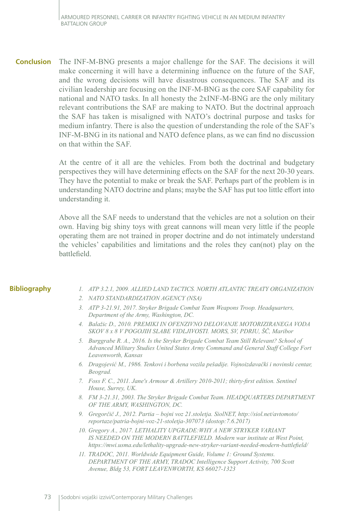The INF-M-BNG presents a major challenge for the SAF. The decisions it will make concerning it will have a determining influence on the future of the SAF, and the wrong decisions will have disastrous consequences. The SAF and its civilian leadership are focusing on the INF-M-BNG as the core SAF capability for national and NATO tasks. In all honesty the 2xINF-M-BNG are the only military relevant contributions the SAF are making to NATO. But the doctrinal approach the SAF has taken is misaligned with NATO's doctrinal purpose and tasks for medium infantry. There is also the question of understanding the role of the SAF's INF-M-BNG in its national and NATO defence plans, as we can find no discussion on that within the SAF. **Conclusion**

> At the centre of it all are the vehicles. From both the doctrinal and budgetary perspectives they will have determining effects on the SAF for the next 20-30 years. They have the potential to make or break the SAF. Perhaps part of the problem is in understanding NATO doctrine and plans; maybe the SAF has put too little effort into understanding it.

> Above all the SAF needs to understand that the vehicles are not a solution on their own. Having big shiny toys with great cannons will mean very little if the people operating them are not trained in proper doctrine and do not intimately understand the vehicles' capabilities and limitations and the roles they can(not) play on the battlefield.

#### **Bibliography**

- *1. ATP 3.2.1, 2009. ALLIED LAND TACTICS. NORTH ATLANTIC TREATY ORGANIZATION 2. NATO STANDARDIZATION AGENCY (NSA)*
- *3. ATP 3-21.91, 2017. Stryker Brigade Combat Team Weapons Troop. Headquarters, Department of the Army, Washington, DC.*
- *4. Balažic D., 2010. PREMIKI IN OFENZIVNO DELOVANJE MOTORIZIRANEGA VODA SKOV 8 x 8 V POGOJIH SLABE VIDLJIVOSTI. MORS, SV, PDRIU, ŠČ, Maribor*
- *5. Burggrabe R. A., 2016. Is the Stryker Brigade Combat Team Still Relevant? School of Advanced Military Studies United States Army Command and General Staff College Fort Leavenworth, Kansas*
- *6. Dragojević M., 1986. Tenkovi i borbena vozila pešadije. Vojnoizdavački i novinski centar, Beograd.*
- *7. Foss F. C., 2011. Jane's Armour & Artillery 2010-2011; thirty-first edition. Sentinel House, Surrey, UK.*
- *8. FM 3-21.31, 2003. The Stryker Brigade Combat Team. HEADQUARTERS DEPARTMENT OF THE ARMY, WASHINGTON, DC.*
- *9. Gregorčič J., 2012. Partia bojni voz 21.stoletja. SiolNET, [http://siol.net/avtomoto/](http://siol.net/avtomoto/reportaze/patria-bojni-voz-21-stoletja-307073) [reportaze/patria-bojni-voz-21-stoletja-307073](http://siol.net/avtomoto/reportaze/patria-bojni-voz-21-stoletja-307073) (dostop:7.6.2017)*
- *10. Gregory A., 2017. LETHALITY UPGRADE:WHY A NEW STRYKER VARIANT IS NEEDED ON THE MODERN BATTLEFIELD. Modern war institute at West Point, <https://mwi.usma.edu/lethality-upgrade-new-stryker-variant-needed-modern-battlefield/>*
- *11. TRADOC, 2011. Worldwide Equipment Guide, Volume 1: Ground Systems. DEPARTMENT OF THE ARMY, TRADOC Intelligence Support Activity, 700 Scott Avenue, Bldg 53, FORT LEAVENWORTH, KS 66027-1323*